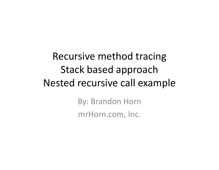Recursive method tracing Stack based approach Nested recursive call example By: Brandon Horn

mrHorn.com, Inc.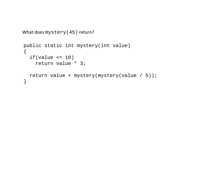```
public static int mystery(int value)
{
  if(value \leq 10)return value * 3;
  return value + mystery(mystery(value / 5));
}
What does mystery(45) return?
```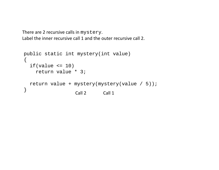There are 2 recursive calls in mystery. Label the inner recursive call 1 and the outer recursive call 2.

```
Call 2 Call 1
public static int mystery(int value)
{
  if(value \leq 10)return value * 3;
  return value + mystery(mystery(value / 5));
}
```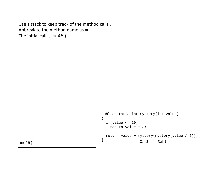Use <sup>a</sup> stack to keep track of the method calls . Abbreviate the method name as m. The initial call is m(45).

```
m(45)
                                                            Call 2 Call 1
                                        public static int mystery(int value)
                                         \{if(value \leq 10)return value * 3;
                                           return value + mystery(mystery(value / 5));
                                         }
```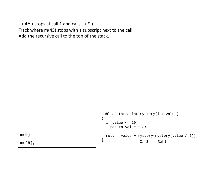$m(45)$  stops at call 1 and calls  $m(9)$ . Track where m(45) stops with <sup>a</sup> subscript next to the call. Add the recursive call to the top of the stack.

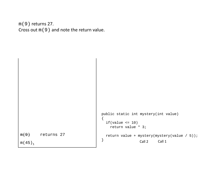m(9) returns 27. Cross out m(9) and note the return value.

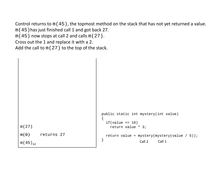Control returns to m(45), the topmost method on the stack that has not yet returned <sup>a</sup> value. m(45)has just finished call 1 and got back 27.  $m(45)$  now stops at call 2 and calls  $m(27)$ . Cross out the 1 and replace it with <sup>a</sup> 2. Add the call to m(27) to the top of the stack.

```
m(27)
m(9) returns 27
m(45)_{12}Call 2 Call 1
                                       public static int mystery(int value)
                                        {
                                         if(value \le 10)
                                            return value * 3;
                                         return value + mystery(mystery(value / 5));
                                        }
```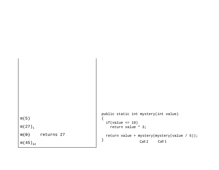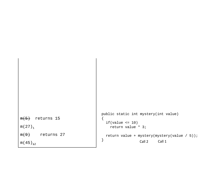```
m(5) returns 15
m ( 27 ) _{\rm 1}m(9) returns 27
m(45)<sub>12</sub>\begin{array}{ccc} & & & & \end{array} \begin{array}{ccc} & & & \end{array} \begin{array}{ccc} & & & \end{array} Call 2 Call 1
                                                   public static int mystery(int value)
                                                   {
                                                      if(value \leq 10)
                                                         return value * 3;
                                                     return value + mystery(mystery(value / 5));
                                                   }
```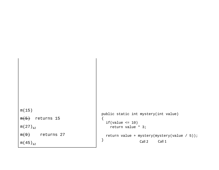```
m(15)
m(5) returns 15
m ( 27 ) <sub>12</sub>
m(9) returns 27
m(45)<sub>12</sub>\begin{array}{ccc} & & & & \end{array} \begin{array}{ccc} & & & \end{array} \begin{array}{ccc} & & & \end{array} Call 2 Call 1
                                                   public static int mystery(int value)
                                                   {
                                                      if(value \leq 10)
                                                         return value * 3;
                                                      return value + mystery(mystery(value / 5));
                                                   }
```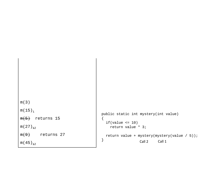```
m(3)
m ( 15 ) _1\,m(5) returns 15
m ( 27 ) <sub>12</sub>
m(9) returns 27
m(45)<sub>12</sub>\begin{array}{ccc} & & & & \end{array} \begin{array}{ccc} & & & \end{array} \begin{array}{ccc} & & & \end{array} Call 2 Call 1
                                                    public static int mystery(int value)
                                                    {
                                                       if(value \leq 10)
                                                          return value * 3;
                                                       return value + mystery(mystery(value / 5));
                                                    }
```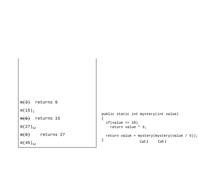```
m(3) returns 9
m ( 15 ) _1\,m(5) returns 15
m ( 27 ) <sub>12</sub>
m(9) returns 27
m(45)<sub>12</sub>\begin{array}{ccc} & & & & \end{array} \begin{array}{ccc} & & & \end{array} \begin{array}{ccc} & & & \end{array} Call 2 Call 1
                                                   public static int mystery(int value)
                                                   {
                                                      if(value \leq 10)
                                                         return value * 3;
                                                     return value + mystery(mystery(value / 5));
                                                   }
```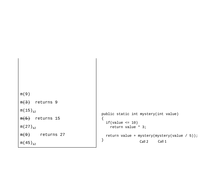```
m(9)
m(3) returns 9
m ( 15 ) <sub>12</sub>
m(5) returns 15
m ( 27 ) <sub>12</sub>
m(9) returns 27
m(45)<sub>12</sub>\begin{array}{ccc} & & & & \end{array} \begin{array}{ccc} & & & \end{array} \begin{array}{ccc} & & & \end{array} Call 2 Call 1
                                                    public static int mystery(int value)
                                                    {
                                                       if(value \leq 10)
                                                          return value * 3;
                                                      return value + mystery(mystery(value / 5));
                                                    }
```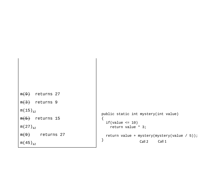```
m(9) returns 27
m(3) returns 9
m ( 15 ) <sub>12</sub>
m(5) returns 15
m ( 27 ) <sub>12</sub>
m(9) returns 27
m(45)<sub>12</sub>\begin{array}{ccc} & & & & \end{array} \begin{array}{ccc} & & & \end{array} \begin{array}{ccc} & & & \end{array} Call 2 Call 1
                                                   public static int mystery(int value)
                                                   {
                                                     if(value \leq 10)
                                                         return value * 3;
                                                     return value + mystery(mystery(value / 5));
                                                   }
```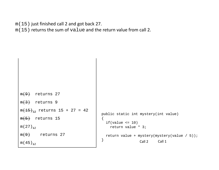m(15) just finished call 2 and got back 27.

m(15) returns the sum of value and the return value from call 2.

```
m(9) returns 27
m(3) returns 9
<del>m(15)<sub>12</sub></del> returns 15 + 27 = 42
m(5) returns 15
m(27)_{12}m(9) returns 27
m(45)_{12}Call 2 Call 1
                                        public static int mystery(int value)
                                         {
                                           if(value \leq 10)return value * 3;
                                           return value + mystery(mystery(value / 5));
                                         }
```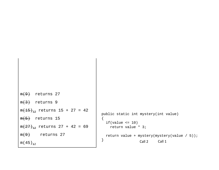```
m(9) returns 27
m(3) returns 9
<del>m(15)<sub>12</sub></del> returns 15 + 27 = 42
m(5) returns 15
<del>m(27)<sub>12</sub></del> returns 27 + 42 = 69
m(9) returns 27
m(45)_{+2}\begin{array}{ccc} & & & & \end{array} \begin{array}{ccc} & & & \end{array} \begin{array}{ccc} & & & \end{array} Call 2 Call 1
                                                 public static int mystery(int value)
                                                 \{if(value \le 10)
                                                       return value * 3;
                                                   return value + mystery(mystery(value / 5));
                                                 }
```